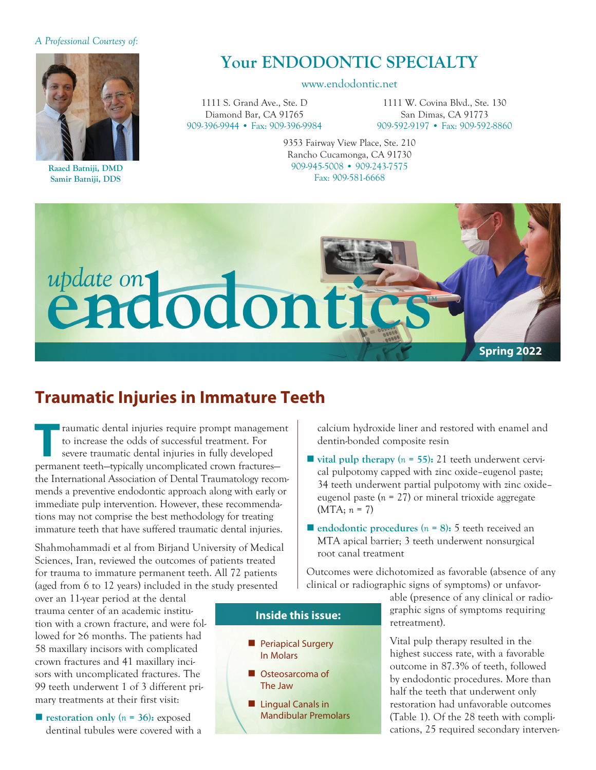#### *A Professional Courtesy of:*



**Raaed Batniji, DMD Samir Batniji, DDS**

# **Your ENDODONTIC SPECIALTY**

#### www.endodontic.net

1111 S. Grand Ave., Ste. D Diamond Bar, CA 91765 909-396-9944 • Fax: 909-396-9984

1111 W. Covina Blvd., Ste. 130 San Dimas, CA 91773 909-592-9197 • Fax: 909-592-8860

9353 Fairway View Place, Ste. 210 Rancho Cucamonga, CA 91730 909-945-5008 • 909-243-7575 Fax: 909-581-6668



### **Traumatic Injuries in Immature Teeth**

Traumatic dental injuries require prompt management<br>
to increase the odds of successful treatment. For<br>
severe traumatic dental injuries in fully developed<br> **Parmaport took** unically uncomplicated aroun fractures to increase the odds of successful treatment. For permanent teeth—typically uncomplicated crown fractures the International Association of Dental Traumatology recommends a preventive endodontic approach along with early or immediate pulp intervention. However, these recommendations may not comprise the best methodology for treating immature teeth that have suffered traumatic dental injuries.

Shahmohammadi et al from Birjand University of Medical Sciences, Iran, reviewed the outcomes of patients treated for trauma to immature permanent teeth. All 72 patients (aged from 6 to 12 years) included in the study presented

over an 11-year period at the dental trauma center of an academic institution with a crown fracture, and were followed for ≥6 months. The patients had 58 maxillary incisors with complicated crown fractures and 41 maxillary incisors with uncomplicated fractures. The 99 teeth underwent 1 of 3 different primary treatments at their first visit:

**restoration only**  $(n = 36)$ : exposed dentinal tubules were covered with a calcium hydroxide liner and restored with enamel and dentin-bonded composite resin

- **vital pulp therapy (** $n = 55$ **): 21 teeth underwent cervi**cal pulpotomy capped with zinc oxide–eugenol paste; 34 teeth underwent partial pulpotomy with zinc oxide– eugenol paste (*n* = 27) or mineral trioxide aggregate (MTA; *n* = 7)
- $\blacksquare$  **endodontic procedures** ( $n = 8$ ): 5 teeth received an MTA apical barrier; 3 teeth underwent nonsurgical root canal treatment

Outcomes were dichotomized as favorable (absence of any clinical or radiographic signs of symptoms) or unfavor-

> able (presence of any clinical or radiographic signs of symptoms requiring retreatment).

Vital pulp therapy resulted in the highest success rate, with a favorable outcome in 87.3% of teeth, followed by endodontic procedures. More than half the teeth that underwent only restoration had unfavorable outcomes (Table 1). Of the 28 teeth with complications, 25 required secondary interven-

### **Inside this issue:**

- **Periapical Surgery** In Molars
- Osteosarcoma of The Jaw
- **n** Lingual Canals in Mandibular Premolars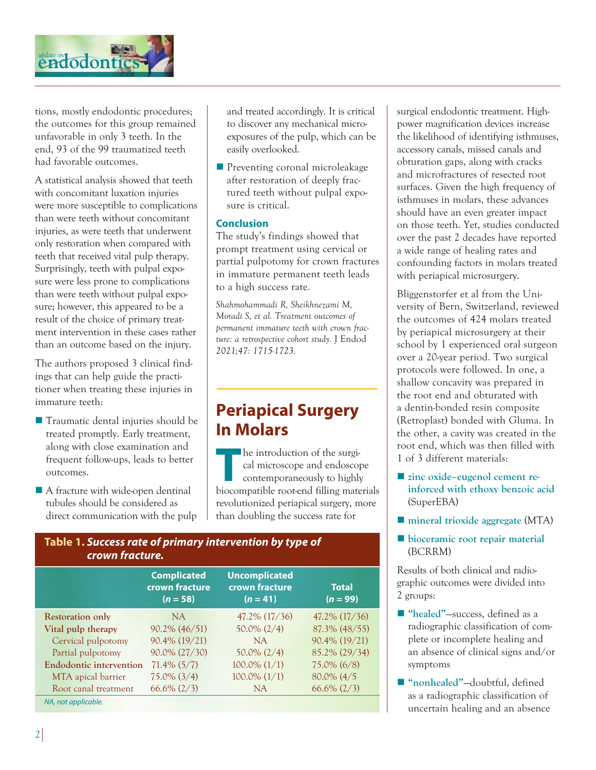

tions, mostly endodontic procedures; the outcomes for this group remained unfavorable in only 3 teeth. In the end, 93 of the 99 traumatized teeth had favorable outcomes.

A statistical analysis showed that teeth with concomitant luxation injuries were more susceptible to complications than were teeth without concomitant injuries, as were teeth that underwent only restoration when compared with teeth that received vital pulp therapy. Surprisingly, teeth with pulpal exposure were less prone to complications than were teeth without pulpal exposure; however, this appeared to be a result of the choice of primary treatment intervention in these cases rather than an outcome based on the injury.

The authors proposed 3 clinical findings that can help guide the practitioner when treating these injuries in immature teeth:

- Traumatic dental injuries should be treated promptly. Early treatment, along with close examination and frequent follow-ups, leads to better outcomes.
- $\blacksquare$  A fracture with wide-open dentinal tubules should be considered as direct communication with the pulp

and treated accordingly. It is critical to discover any mechanical microexposures of the pulp, which can be easily overlooked.

**n** Preventing coronal microleakage after restoration of deeply fractured teeth without pulpal exposure is critical.

#### **Conclusion**

The study's findings showed that prompt treatment using cervical or partial pulpotomy for crown fractures in immature permanent teeth leads to a high success rate.

*Shahmohammadi R, Sheikhnezami M, Moradi S, et al. Treatment outcomes of permanent immature teeth with crown fracture: a retrospective cohort study.* J Endod *2021;47: 1715-1723.*

# **Periapical Surgery In Molars**

**The introduction of the surgi-<br>
cal microscope and endoscope<br>
contemporaneously to highly<br>
biocompatible root and filling matrix** cal microscope and endoscope contemporaneously to highly biocompatible root-end filling materials revolutionized periapical surgery, more than doubling the success rate for

### **Table 1.** *Success rate of primary intervention by type of crown fracture.*

|                                | <b>Complicated</b><br>crown fracture<br>$(n = 58)$ | <b>Uncomplicated</b><br>crown fracture<br>$(n = 41)$ | <b>Total</b><br>$(n = 99)$ |
|--------------------------------|----------------------------------------------------|------------------------------------------------------|----------------------------|
| <b>Restoration only</b>        | NA.                                                | $47.2\%$ (17/36)                                     | $47.2\%$ (17/36)           |
| Vital pulp therapy             | 90.2% (46/51)                                      | $50.0\% (2/4)$                                       | 87.3% (48/55)              |
| Cervical pulpotomy             | 90.4% (19/21)                                      | NA                                                   | 90.4% (19/21)              |
| Partial pulpotomy              | 90.0% (27/30)                                      | $50.0\% (2/4)$                                       | 85.2% (29/34)              |
| <b>Endodontic intervention</b> | $71.4\%$ (5/7)                                     | $100.0\% (1/1)$                                      | $75.0\%$ (6/8)             |
| MTA apical barrier             | $75.0\% (3/4)$                                     | $100.0\% (1/1)$                                      | $80.0\%$ (4/5)             |
| Root canal treatment           | $66.6\% (2/3)$                                     | NA.                                                  | $66.6\% (2/3)$             |
| NA, not applicable.            |                                                    |                                                      |                            |

surgical endodontic treatment. Highpower magnification devices increase the likelihood of identifying isthmuses, accessory canals, missed canals and obturation gaps, along with cracks and microfractures of resected root surfaces. Given the high frequency of isthmuses in molars, these advances should have an even greater impact on those teeth. Yet, studies conducted over the past 2 decades have reported a wide range of healing rates and confounding factors in molars treated with periapical microsurgery.

Bliggenstorfer et al from the University of Bern, Switzerland, reviewed the outcomes of 424 molars treated by periapical microsurgery at their school by 1 experienced oral surgeon over a 20-year period. Two surgical protocols were followed. In one, a shallow concavity was prepared in the root end and obturated with a dentin-bonded resin composite (Retroplast) bonded with Gluma. In the other, a cavity was created in the root end, which was then filled with 1 of 3 different materials:

- zinc oxide–eugenol cement re**inforced with ethoxy benzoic acid** (SuperEBA)
- **n** mineral trioxide aggregate (MTA)
- **n** bioceramic root repair material (BCRRM)

Results of both clinical and radiographic outcomes were divided into 2 groups:

- "healed"—success, defined as a radiographic classification of complete or incomplete healing and an absence of clinical signs and/or symptoms
- "nonhealed"-doubtful, defined as a radiographic classification of uncertain healing and an absence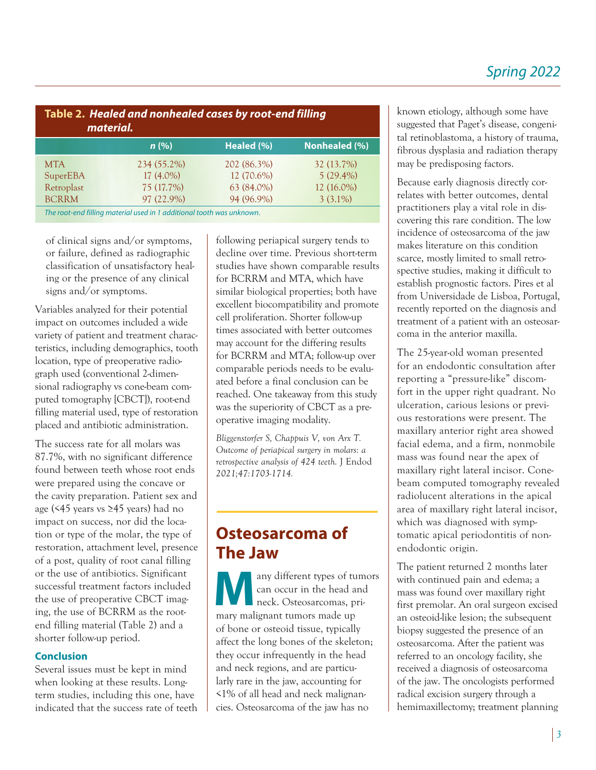## *Spring 2022*

| Table 2. Healed and nonhealed cases by root-end filling<br>material.  |             |             |               |  |
|-----------------------------------------------------------------------|-------------|-------------|---------------|--|
|                                                                       | n(%)        | Healed (%)  | Nonhealed (%) |  |
| <b>MTA</b>                                                            | 234 (55.2%) | 202 (86.3%) | 32 (13.7%)    |  |
| SuperEBA                                                              | $17(4.0\%)$ | 12 (70.6%)  | $5(29.4\%)$   |  |
| Retroplast                                                            | 75 (17.7%)  | 63 (84.0%)  | 12 (16.0%)    |  |
| <b>BCRRM</b>                                                          | 97 (22.9%)  | 94 (96.9%)  | $3(3.1\%)$    |  |
| The root-end filling material used in 1 additional tooth was unknown. |             |             |               |  |

of clinical signs and/or symptoms, or failure, defined as radiographic classification of unsatisfactory healing or the presence of any clinical signs and/or symptoms.

Variables analyzed for their potential impact on outcomes included a wide variety of patient and treatment characteristics, including demographics, tooth location, type of preoperative radiograph used (conventional 2-dimensional radiography vs cone-beam computed tomography [CBCT]), root-end filling material used, type of restoration placed and antibiotic administration.

The success rate for all molars was 87.7%, with no significant difference found between teeth whose root ends were prepared using the concave or the cavity preparation. Patient sex and age (<45 years vs ≥45 years) had no impact on success, nor did the location or type of the molar, the type of restoration, attachment level, presence of a post, quality of root canal filling or the use of antibiotics. Significant successful treatment factors included the use of preoperative CBCT imaging, the use of BCRRM as the rootend filling material (Table 2) and a shorter follow-up period.

### **Conclusion**

Several issues must be kept in mind when looking at these results. Longterm studies, including this one, have indicated that the success rate of teeth

following periapical surgery tends to decline over time. Previous short-term studies have shown comparable results for BCRRM and MTA, which have similar biological properties; both have excellent biocompatibility and promote cell proliferation. Shorter follow-up times associated with better outcomes may account for the differing results for BCRRM and MTA; follow-up over comparable periods needs to be evaluated before a final conclusion can be reached. One takeaway from this study was the superiority of CBCT as a preoperative imaging modality.

*Bliggenstorfer S, Chappuis V, von Arx T. Outcome of periapical surgery in molars: a retrospective analysis of 424 teeth.* J Endod *2021;47:1703-1714.*

## **Osteosarcoma of The Jaw**

any different types of tumors can occur in the head and neck. Osteosarcomas, primary malignant tumors made up of bone or osteoid tissue, typically affect the long bones of the skeleton; they occur infrequently in the head and neck regions, and are particularly rare in the jaw, accounting for <1% of all head and neck malignancies. Osteosarcoma of the jaw has no

known etiology, although some have suggested that Paget's disease, congenital retinoblastoma, a history of trauma, fibrous dysplasia and radiation therapy may be predisposing factors.

Because early diagnosis directly correlates with better outcomes, dental practitioners play a vital role in discovering this rare condition. The low incidence of osteosarcoma of the jaw makes literature on this condition scarce, mostly limited to small retrospective studies, making it difficult to establish prognostic factors. Pires et al from Universidade de Lisboa, Portugal, recently reported on the diagnosis and treatment of a patient with an osteosarcoma in the anterior maxilla.

The 25-year-old woman presented for an endodontic consultation after reporting a "pressure-like" discomfort in the upper right quadrant. No ulceration, carious lesions or previous restorations were present. The maxillary anterior right area showed facial edema, and a firm, nonmobile mass was found near the apex of maxillary right lateral incisor. Conebeam computed tomography revealed radiolucent alterations in the apical area of maxillary right lateral incisor, which was diagnosed with symptomatic apical periodontitis of nonendodontic origin.

The patient returned 2 months later with continued pain and edema; a mass was found over maxillary right first premolar. An oral surgeon excised an osteoid-like lesion; the subsequent biopsy suggested the presence of an osteosarcoma. After the patient was referred to an oncology facility, she received a diagnosis of osteosarcoma of the jaw. The oncologists performed radical excision surgery through a hemimaxillectomy; treatment planning